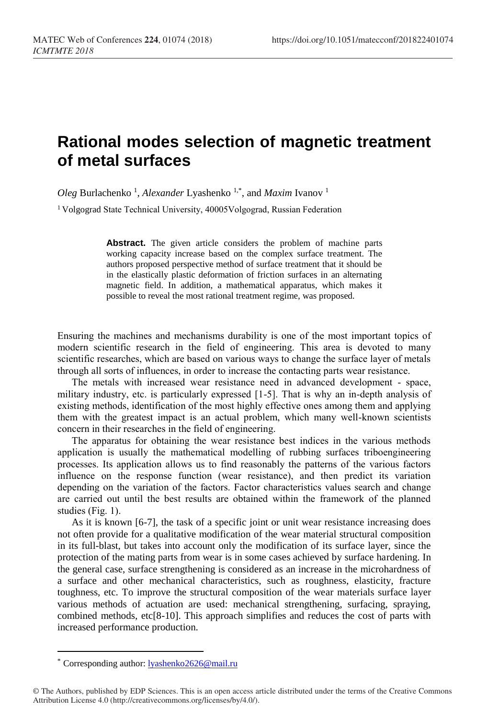## **Rational modes selection of magnetic treatment of metal surfaces**

Oleg Burlachenko<sup>1</sup>, *Alexander* Lyashenko<sup>1,\*</sup>, and *Maxim* Ivanov<sup>1</sup>

<sup>1</sup> Volgograd State Technical University, 40005 Volgograd, Russian Federation

**Abstract.** The given article considers the problem of machine parts working capacity increase based on the complex surface treatment. The authors proposed perspective method of surface treatment that it should be in the elastically plastic deformation of friction surfaces in an alternating magnetic field. In addition, a mathematical apparatus, which makes it possible to reveal the most rational treatment regime, was proposed.

Ensuring the machines and mechanisms durability is one of the most important topics of modern scientific research in the field of engineering. This area is devoted to many scientific researches, which are based on various ways to change the surface layer of metals through all sorts of influences, in order to increase the contacting parts wear resistance.

The metals with increased wear resistance need in advanced development - space, military industry, etc. is particularly expressed [1-5]. That is why an in-depth analysis of existing methods, identification of the most highly effective ones among them and applying them with the greatest impact is an actual problem, which many well-known scientists concern in their researches in the field of engineering.

The apparatus for obtaining the wear resistance best indices in the various methods application is usually the mathematical modelling of rubbing surfaces triboengineering processes. Its application allows us to find reasonably the patterns of the various factors influence on the response function (wear resistance), and then predict its variation depending on the variation of the factors. Factor characteristics values search and change are carried out until the best results are obtained within the framework of the planned studies (Fig. 1).

As it is known [6-7], the task of a specific joint or unit wear resistance increasing does not often provide for a qualitative modification of the wear material structural composition in its full-blast, but takes into account only the modification of its surface layer, since the protection of the mating parts from wear is in some cases achieved by surface hardening. In the general case, surface strengthening is considered as an increase in the microhardness of a surface and other mechanical characteristics, such as roughness, elasticity, fracture toughness, etc. To improve the structural composition of the wear materials surface layer various methods of actuation are used: mechanical strengthening, surfacing, spraying, combined methods,  $etc[8-10]$ . This approach simplifies and reduces the cost of parts with increased performance production.

 $\overline{a}$ 

<sup>\*</sup> Corresponding author: [lyashenko2626@mail.ru](mailto:author@email.org)

<sup>©</sup> The Authors, published by EDP Sciences. This is an open access article distributed under the terms of the Creative Commons Attribution License 4.0 (http://creativecommons.org/licenses/by/4.0/).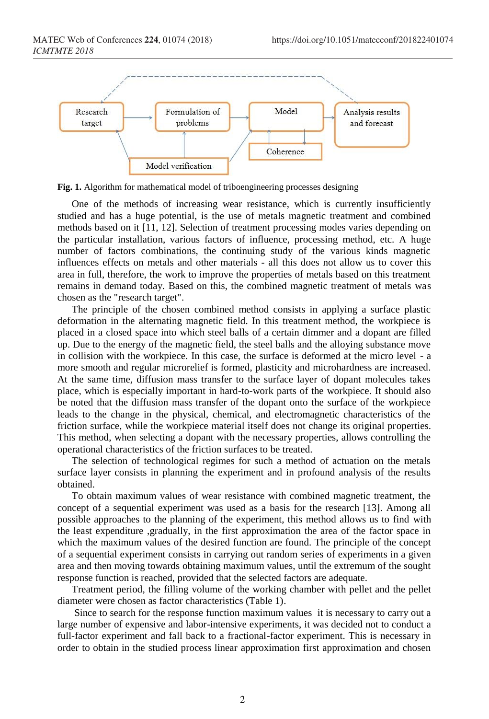

**Fig. 1.** Algorithm for mathematical model of triboengineering processes designing

One of the methods of increasing wear resistance, which is currently insufficiently studied and has a huge potential, is the use of metals magnetic treatment and combined methods based on it [11, 12]. Selection of treatment processing modes varies depending on the particular installation, various factors of influence, processing method, etc. A huge number of factors combinations, the continuing study of the various kinds magnetic influences effects on metals and other materials - all this does not allow us to cover this area in full, therefore, the work to improve the properties of metals based on this treatment remains in demand today. Based on this, the combined magnetic treatment of metals was chosen as the "research target".

The principle of the chosen combined method consists in applying a surface plastic deformation in the alternating magnetic field. In this treatment method, the workpiece is placed in a closed space into which steel balls of a certain dimmer and a dopant are filled up. Due to the energy of the magnetic field, the steel balls and the alloying substance move in collision with the workpiece. In this case, the surface is deformed at the micro level - a more smooth and regular microrelief is formed, plasticity and microhardness are increased. At the same time, diffusion mass transfer to the surface layer of dopant molecules takes place, which is especially important in hard-to-work parts of the workpiece. It should also be noted that the diffusion mass transfer of the dopant onto the surface of the workpiece leads to the change in the physical, chemical, and electromagnetic characteristics of the friction surface, while the workpiece material itself does not change its original properties. This method, when selecting a dopant with the necessary properties, allows controlling the operational characteristics of the friction surfaces to be treated.

The selection of technological regimes for such a method of actuation on the metals surface layer consists in planning the experiment and in profound analysis of the results obtained.

To obtain maximum values of wear resistance with combined magnetic treatment, the concept of a sequential experiment was used as a basis for the research [13]. Among all possible approaches to the planning of the experiment, this method allows us to find with the least expenditure ,gradually, in the first approximation the area of the factor space in which the maximum values of the desired function are found. The principle of the concept of a sequential experiment consists in carrying out random series of experiments in a given area and then moving towards obtaining maximum values, until the extremum of the sought response function is reached, provided that the selected factors are adequate.

Treatment period, the filling volume of the working chamber with pellet and the pellet diameter were chosen as factor characteristics (Table 1).

Since to search for the response function maximum values it is necessary to carry out a large number of expensive and labor-intensive experiments, it was decided not to conduct a full-factor experiment and fall back to a fractional-factor experiment. This is necessary in order to obtain in the studied process linear approximation first approximation and chosen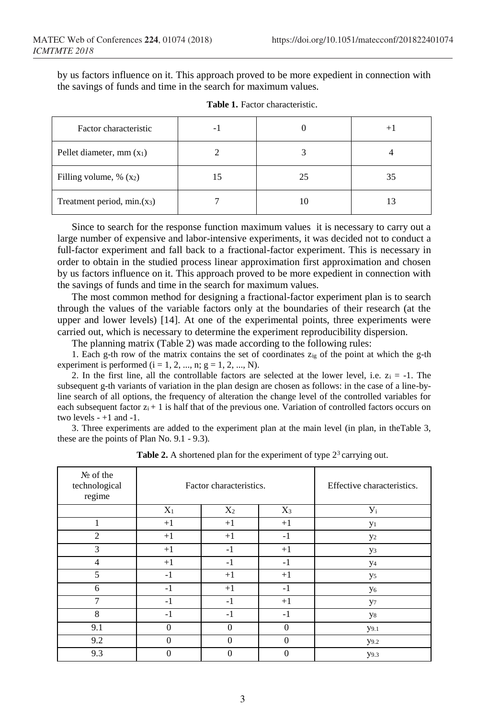by us factors influence on it. This approach proved to be more expedient in connection with the savings of funds and time in the search for maximum values.

| Factor characteristic       | - 1 |    | $^{+}$ |
|-----------------------------|-----|----|--------|
| Pellet diameter, mm $(x_1)$ |     |    |        |
| Filling volume, % $(x_2)$   | 15  | 25 | 35     |
| Treatment period, min.(x3)  |     |    |        |

Since to search for the response function maximum values it is necessary to carry out a large number of expensive and labor-intensive experiments, it was decided not to conduct a full-factor experiment and fall back to a fractional-factor experiment. This is necessary in order to obtain in the studied process linear approximation first approximation and chosen by us factors influence on it. This approach proved to be more expedient in connection with the savings of funds and time in the search for maximum values.

The most common method for designing a fractional-factor experiment plan is to search through the values of the variable factors only at the boundaries of their research (at the upper and lower levels) [14]. At one of the experimental points, three experiments were carried out, which is necessary to determine the experiment reproducibility dispersion.

The planning matrix (Table 2) was made according to the following rules:

1. Each g-th row of the matrix contains the set of coordinates  $z_{ig}$  of the point at which the g-th experiment is performed  $(i = 1, 2, ..., n; g = 1, 2, ..., N)$ .

2. In the first line, all the controllable factors are selected at the lower level, i.e.  $z_i = -1$ . The subsequent g-th variants of variation in the plan design are chosen as follows: in the case of a line-byline search of all options, the frequency of alteration the change level of the controlled variables for each subsequent factor  $z_i + 1$  is half that of the previous one. Variation of controlled factors occurs on two levels  $-+1$  and  $-1$ .

3. Three experiments are added to the experiment plan at the main level (in plan, in theTable 3, these are the points of Plan No. 9.1 - 9.3).

| $N_2$ of the<br>technological<br>regime | Factor characteristics. |          |          | Effective characteristics. |
|-----------------------------------------|-------------------------|----------|----------|----------------------------|
|                                         | $X_1$                   | $X_2$    | $X_3$    | $V_i$                      |
|                                         | $+1$                    | $+1$     | $+1$     | y <sub>1</sub>             |
| $\overline{c}$                          | $+1$                    | $+1$     | $-1$     | $y_2$                      |
| 3                                       | $+1$                    | $-1$     | $+1$     | y3                         |
| 4                                       | $+1$                    | $-1$     | $-1$     | y <sub>4</sub>             |
| 5                                       | $-1$                    | $+1$     | $+1$     | y <sub>5</sub>             |
| 6                                       | $-1$                    | $+1$     | $-1$     | y <sub>6</sub>             |
|                                         | $-1$                    | $-1$     | $+1$     | y7                         |
| 8                                       | $-1$                    | $-1$     | $-1$     | y8                         |
| 9.1                                     | $\Omega$                | $\Omega$ | $\Omega$ | <b>y</b> 9.1               |
| 9.2                                     | $\Omega$                | $\Omega$ | $\Omega$ | <b>y</b> 9.2               |
| 9.3                                     | $\Omega$                | $\theta$ | $\Omega$ | y9.3                       |

**Table 2.** A shortened plan for the experiment of type  $2<sup>3</sup>$  carrying out.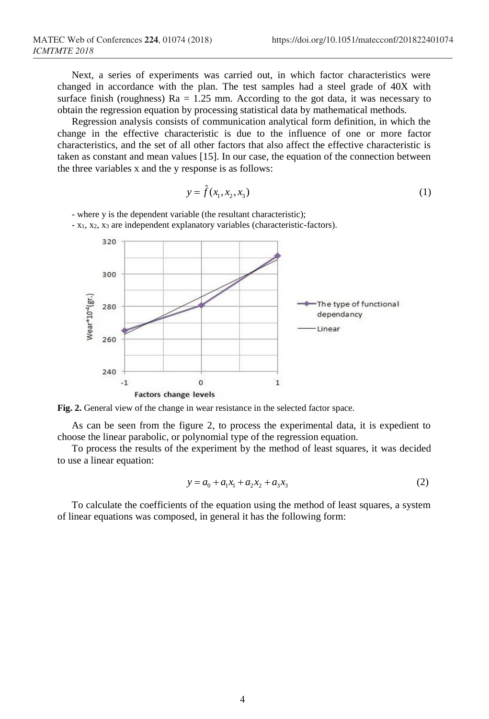Next, a series of experiments was carried out, in which factor characteristics were changed in accordance with the plan. The test samples had a steel grade of 40X with surface finish (roughness)  $Ra = 1.25$  mm. According to the got data, it was necessary to obtain the regression equation by processing statistical data by mathematical methods.

Regression analysis consists of communication analytical form definition, in which the change in the effective characteristic is due to the influence of one or more factor characteristics, and the set of all other factors that also affect the effective characteristic is taken as constant and mean values [15]. In our case, the equation of the connection between the three variables x and the y response is as follows:

$$
y = f(x_1, x_2, x_3) \tag{1}
$$

- where y is the dependent variable (the resultant characteristic);

- x1, x2, x<sup>3</sup> are independent explanatory variables (characteristic-factors).



**Fig. 2.** General view of the change in wear resistance in the selected factor space.

As can be seen from the figure 2, to process the experimental data, it is expedient to choose the linear parabolic, or polynomial type of the regression equation.

To process the results of the experiment by the method of least squares, it was decided to use a linear equation:

$$
y = a_0 + a_1 x_1 + a_2 x_2 + a_3 x_3 \tag{2}
$$

To calculate the coefficients of the equation using the method of least squares, a system of linear equations was composed, in general it has the following form: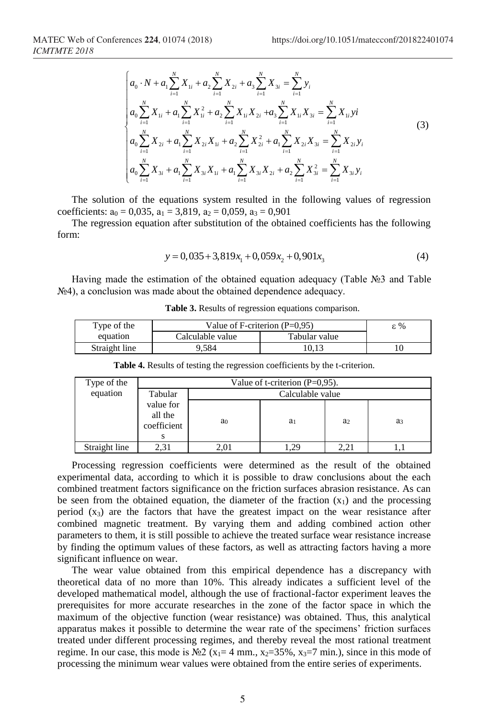$$
\begin{cases}\na_{0} \cdot N + a_{1} \sum_{i=1}^{N} X_{1i} + a_{2} \sum_{i=1}^{N} X_{2i} + a_{3} \sum_{i=1}^{N} X_{3i} = \sum_{i=1}^{N} y_{i} \\
a_{0} \sum_{i=1}^{N} X_{1i} + a_{1} \sum_{i=1}^{N} X_{1i}^{2} + a_{2} \sum_{i=1}^{N} X_{1i} X_{2i} + a_{3} \sum_{i=1}^{N} X_{1i} X_{3i} = \sum_{i=1}^{N} X_{1i} y_{i} \\
a_{0} \sum_{i=1}^{N} X_{2i} + a_{1} \sum_{i=1}^{N} X_{2i} X_{1i} + a_{2} \sum_{i=1}^{N} X_{2i}^{2} + a_{1} \sum_{i=1}^{N} X_{2i} X_{3i} = \sum_{i=1}^{N} X_{2i} y_{i} \\
a_{0} \sum_{i=1}^{N} X_{3i} + a_{1} \sum_{i=1}^{N} X_{3i} X_{1i} + a_{1} \sum_{i=1}^{N} X_{3i} X_{2i} + a_{2} \sum_{i=1}^{N} X_{3i}^{2} = \sum_{i=1}^{N} X_{3i} y_{i}\n\end{cases}
$$
\n(3)

The solution of the equations system resulted in the following values of regression coefficients:  $a_0 = 0.035$ ,  $a_1 = 3.819$ ,  $a_2 = 0.059$ ,  $a_3 = 0.901$ 

The regression equation after substitution of the obtained coefficients has the following form:

$$
y = 0,035 + 3,819x_1 + 0,059x_2 + 0,901x_3 \tag{4}
$$

Having made the estimation of the obtained equation adequacy (Table №3 and Table №4), a conclusion was made about the obtained dependence adequacy.

|  |  | <b>Table 3.</b> Results of regression equations comparison. |
|--|--|-------------------------------------------------------------|
|  |  |                                                             |

| Type of the   | Value of F-criterion $(P=0.95)$ | ε%            |  |
|---------------|---------------------------------|---------------|--|
| equation      | Calculable value                | Tabular value |  |
| Straight line | 9.584                           | 10.13         |  |

| Type of the   | Value of t-criterion $(P=0.95)$ .   |                  |                |                |                |
|---------------|-------------------------------------|------------------|----------------|----------------|----------------|
| equation      | Tabular                             | Calculable value |                |                |                |
|               | value for<br>all the<br>coefficient | a <sub>0</sub>   | a <sub>1</sub> | a <sub>2</sub> | a <sub>3</sub> |
| Straight line | 2.31                                | 2.01             | .29            |                |                |

**Table 4.** Results of testing the regression coefficients by the t-criterion.

Processing regression coefficients were determined as the result of the obtained experimental data, according to which it is possible to draw conclusions about the each combined treatment factors significance on the friction surfaces abrasion resistance. As can be seen from the obtained equation, the diameter of the fraction  $(x_1)$  and the processing period  $(x_3)$  are the factors that have the greatest impact on the wear resistance after combined magnetic treatment. By varying them and adding combined action other parameters to them, it is still possible to achieve the treated surface wear resistance increase by finding the optimum values of these factors, as well as attracting factors having a more significant influence on wear.

The wear value obtained from this empirical dependence has a discrepancy with theoretical data of no more than 10%. This already indicates a sufficient level of the developed mathematical model, although the use of fractional-factor experiment leaves the prerequisites for more accurate researches in the zone of the factor space in which the maximum of the objective function (wear resistance) was obtained. Thus, this analytical apparatus makes it possible to determine the wear rate of the specimens' friction surfaces treated under different processing regimes, and thereby reveal the most rational treatment regime. In our case, this mode is  $\mathbb{N}2$  (x<sub>1</sub>= 4 mm., x<sub>2</sub>=35%, x<sub>3</sub>=7 min.), since in this mode of processing the minimum wear values were obtained from the entire series of experiments.